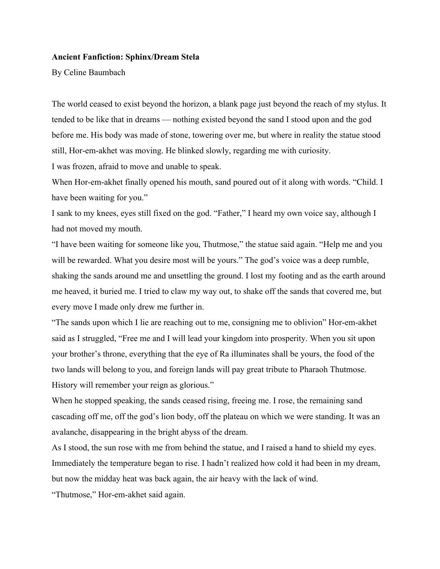## **Ancient Fanfiction: Sphinx/Dream Stela**

By Celine Baumbach

The world ceased to exist beyond the horizon, a blank page just beyond the reach of my stylus. It tended to be like that in dreams — nothing existed beyond the sand I stood upon and the god before me. His body was made of stone, towering over me, but where in reality the statue stood still, Hor-em-akhet was moving. He blinked slowly, regarding me with curiosity. I was frozen, afraid to move and unable to speak.

When Hor-em-akhet finally opened his mouth, sand poured out of it along with words. "Child. I have been waiting for you."

I sank to my knees, eyes still fixed on the god. "Father," I heard my own voice say, although I had not moved my mouth.

"I have been waiting for someone like you, Thutmose," the statue said again. "Help me and you will be rewarded. What you desire most will be yours." The god's voice was a deep rumble, shaking the sands around me and unsettling the ground. I lost my footing and as the earth around me heaved, it buried me. I tried to claw my way out, to shake off the sands that covered me, but every move I made only drew me further in.

"The sands upon which I lie are reaching out to me, consigning me to oblivion" Hor-em-akhet said as I struggled, "Free me and I will lead your kingdom into prosperity. When you sit upon your brother's throne, everything that the eye of Ra illuminates shall be yours, the food of the two lands will belong to you, and foreign lands will pay great tribute to Pharaoh Thutmose. History will remember your reign as glorious."

When he stopped speaking, the sands ceased rising, freeing me. I rose, the remaining sand cascading off me, off the god's lion body, off the plateau on which we were standing. It was an avalanche, disappearing in the bright abyss of the dream.

As I stood, the sun rose with me from behind the statue, and I raised a hand to shield my eyes. Immediately the temperature began to rise. I hadn't realized how cold it had been in my dream, but now the midday heat was back again, the air heavy with the lack of wind.

"Thutmose," Hor-em-akhet said again.